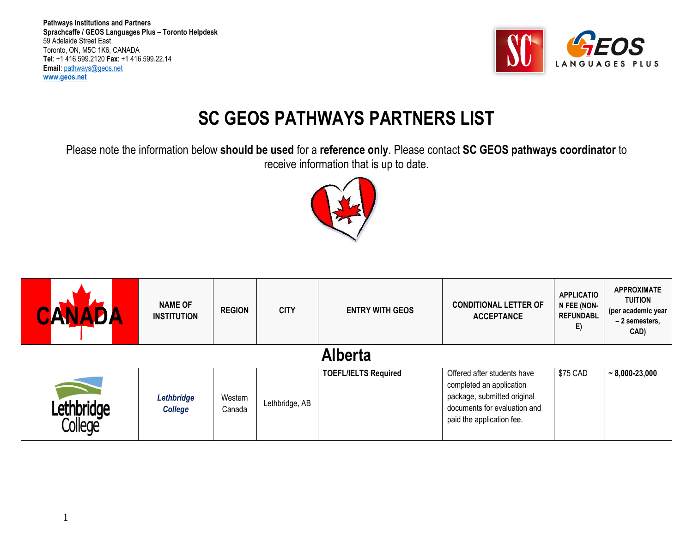

## **SC GEOS PATHWAYS PARTNERS LIST**

Please note the information below **should be used** for a **reference only**. Please contact **SC GEOS pathways coordinator** to receive information that is up to date.



|                              | <b>NAME OF</b><br><b>INSTITUTION</b> | <b>REGION</b>     | <b>CITY</b>    | <b>ENTRY WITH GEOS</b>      | <b>CONDITIONAL LETTER OF</b><br><b>ACCEPTANCE</b>                                                                                                   | <b>APPLICATIO</b><br>N FEE (NON-<br><b>REFUNDABL</b><br>E) | <b>APPROXIMATE</b><br><b>TUITION</b><br>(per academic year<br>-2 semesters,<br>CAD) |  |
|------------------------------|--------------------------------------|-------------------|----------------|-----------------------------|-----------------------------------------------------------------------------------------------------------------------------------------------------|------------------------------------------------------------|-------------------------------------------------------------------------------------|--|
| <b>Alberta</b>               |                                      |                   |                |                             |                                                                                                                                                     |                                                            |                                                                                     |  |
| Lethbridge<br><b>Tollege</b> | Lethbridge<br><b>College</b>         | Western<br>Canada | Lethbridge, AB | <b>TOEFL/IELTS Required</b> | Offered after students have<br>completed an application<br>package, submitted original<br>documents for evaluation and<br>paid the application fee. | \$75 CAD                                                   | $\sim 8,000 - 23,000$                                                               |  |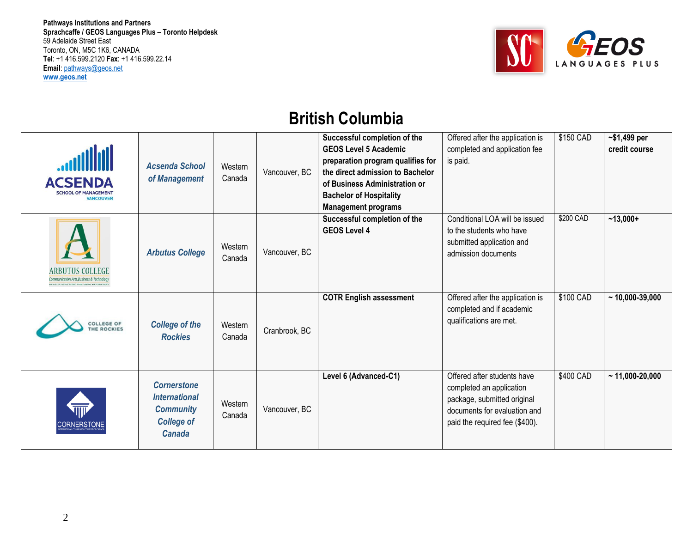

|                                                                  | <b>British Columbia</b>                                                                              |                   |               |                                                                                                                                                                                                                                        |                                                                                                                                                          |           |                                |  |  |  |
|------------------------------------------------------------------|------------------------------------------------------------------------------------------------------|-------------------|---------------|----------------------------------------------------------------------------------------------------------------------------------------------------------------------------------------------------------------------------------------|----------------------------------------------------------------------------------------------------------------------------------------------------------|-----------|--------------------------------|--|--|--|
| <b>ACSENDA</b><br><b>SCHOOL OF MANAGEMENT</b><br><b>VANCOUVE</b> | <b>Acsenda School</b><br>of Management                                                               | Western<br>Canada | Vancouver, BC | Successful completion of the<br><b>GEOS Level 5 Academic</b><br>preparation program qualifies for<br>the direct admission to Bachelor<br>of Business Administration or<br><b>Bachelor of Hospitality</b><br><b>Management programs</b> | Offered after the application is<br>completed and application fee<br>is paid.                                                                            | \$150 CAD | $~51,499$ per<br>credit course |  |  |  |
| <b>ARBUTUS COLLEGE</b><br>Communication Arts Business & Techno   | <b>Arbutus College</b>                                                                               | Western<br>Canada | Vancouver, BC | Successful completion of the<br><b>GEOS Level 4</b>                                                                                                                                                                                    | Conditional LOA will be issued<br>to the students who have<br>submitted application and<br>admission documents                                           | \$200 CAD | $~13,000+$                     |  |  |  |
| <b>COLLEGE OF</b><br><b>HE ROCKIES</b>                           | <b>College of the</b><br><b>Rockies</b>                                                              | Western<br>Canada | Cranbrook, BC | <b>COTR English assessment</b>                                                                                                                                                                                                         | Offered after the application is<br>completed and if academic<br>qualifications are met.                                                                 | \$100 CAD | $~10,000 - 39,000$             |  |  |  |
| CORNERSTOI                                                       | <b>Cornerstone</b><br><b>International</b><br><b>Community</b><br><b>College of</b><br><b>Canada</b> | Western<br>Canada | Vancouver, BC | Level 6 (Advanced-C1)                                                                                                                                                                                                                  | Offered after students have<br>completed an application<br>package, submitted original<br>documents for evaluation and<br>paid the required fee (\$400). | \$400 CAD | $~11,000-20,000$               |  |  |  |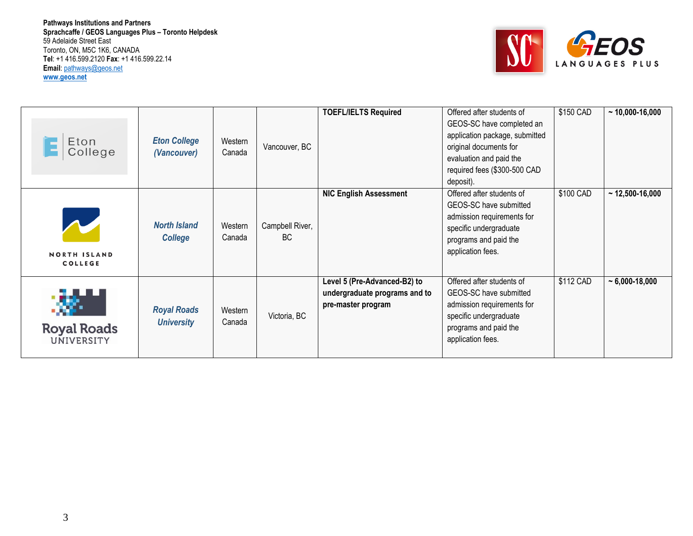

| Eton<br>College                       | <b>Eton College</b><br>(Vancouver)      | Western<br>Canada | Vancouver, BC          | <b>TOEFL/IELTS Required</b>                                                         | Offered after students of<br>GEOS-SC have completed an<br>application package, submitted<br>original documents for<br>evaluation and paid the<br>required fees (\$300-500 CAD<br>deposit). | \$150 CAD | $~10,000 - 16,000$    |
|---------------------------------------|-----------------------------------------|-------------------|------------------------|-------------------------------------------------------------------------------------|--------------------------------------------------------------------------------------------------------------------------------------------------------------------------------------------|-----------|-----------------------|
| <b>NORTH ISLAND</b><br><b>COLLEGE</b> | <b>North Island</b><br><b>College</b>   | Western<br>Canada | Campbell River,<br>BC. | <b>NIC English Assessment</b>                                                       | Offered after students of<br>GEOS-SC have submitted<br>admission requirements for<br>specific undergraduate<br>programs and paid the<br>application fees.                                  | \$100 CAD | $~12,500 - 16,000$    |
| <b>Royal Roads</b><br>UNIVERSITY      | <b>Royal Roads</b><br><b>University</b> | Western<br>Canada | Victoria, BC           | Level 5 (Pre-Advanced-B2) to<br>undergraduate programs and to<br>pre-master program | Offered after students of<br>GEOS-SC have submitted<br>admission requirements for<br>specific undergraduate<br>programs and paid the<br>application fees.                                  | \$112 CAD | $\sim 6,000 - 18,000$ |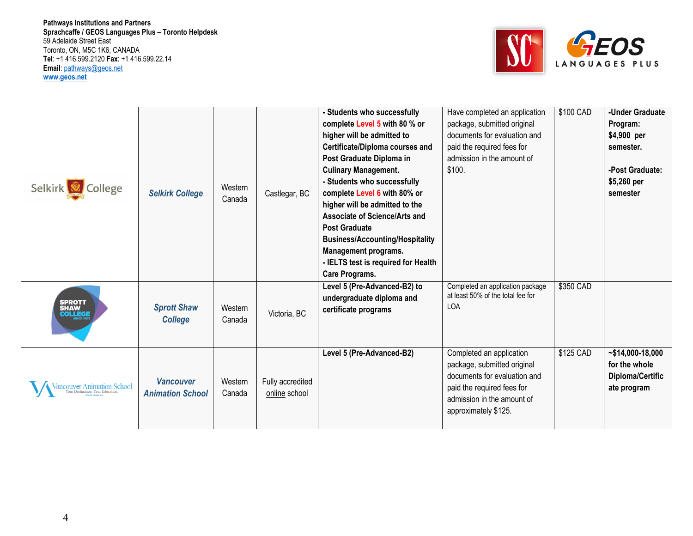

| Selkirk College                  | <b>Selkirk College</b>                      | Western<br>Canada | Castlegar, BC                     | - Students who successfully<br>complete Level 5 with 80 % or<br>higher will be admitted to<br>Certificate/Diploma courses and<br>Post Graduate Diploma in<br><b>Culinary Management.</b><br>- Students who successfully<br>complete Level 6 with 80% or<br>higher will be admitted to the<br>Associate of Science/Arts and<br><b>Post Graduate</b><br><b>Business/Accounting/Hospitality</b><br><b>Management programs.</b><br>- IELTS test is required for Health<br>Care Programs. | Have completed an application<br>package, submitted original<br>documents for evaluation and<br>paid the required fees for<br>admission in the amount of<br>\$100.          | \$100 CAD | -Under Graduate<br>Program:<br>\$4,900 per<br>semester.<br>-Post Graduate:<br>\$5,260 per<br>semester |
|----------------------------------|---------------------------------------------|-------------------|-----------------------------------|--------------------------------------------------------------------------------------------------------------------------------------------------------------------------------------------------------------------------------------------------------------------------------------------------------------------------------------------------------------------------------------------------------------------------------------------------------------------------------------|-----------------------------------------------------------------------------------------------------------------------------------------------------------------------------|-----------|-------------------------------------------------------------------------------------------------------|
| SPROTT<br>SHAW<br><b>COLLEGE</b> | <b>Sprott Shaw</b><br><b>College</b>        | Western<br>Canada | Victoria, BC                      | Level 5 (Pre-Advanced-B2) to<br>undergraduate diploma and<br>certificate programs                                                                                                                                                                                                                                                                                                                                                                                                    | Completed an application package<br>at least 50% of the total fee for<br><b>LOA</b>                                                                                         | \$350 CAD |                                                                                                       |
| Tancouver Animation School       | <b>Vancouver</b><br><b>Animation School</b> | Western<br>Canada | Fully accredited<br>online school | Level 5 (Pre-Advanced-B2)                                                                                                                                                                                                                                                                                                                                                                                                                                                            | Completed an application<br>package, submitted original<br>documents for evaluation and<br>paid the required fees for<br>admission in the amount of<br>approximately \$125. | \$125 CAD | $~14,000-18,000$<br>for the whole<br>Diploma/Certific<br>ate program                                  |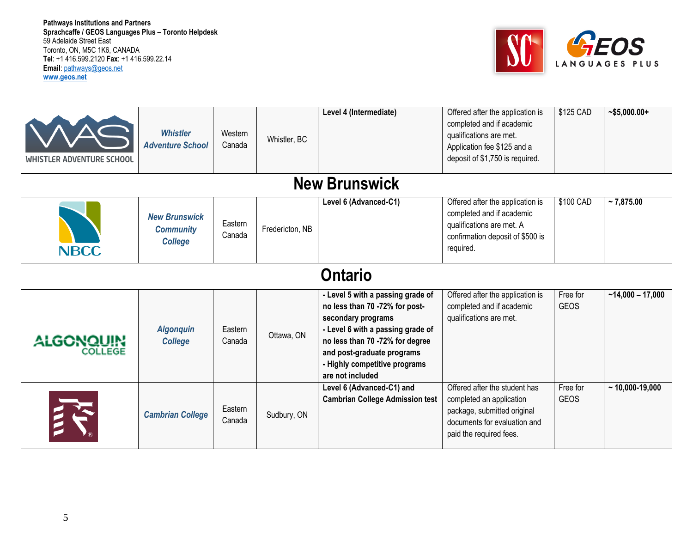

| <b>WHISTLER ADVENTURE SCHOOL</b> | <b>Whistler</b><br><b>Adventure School</b>                 | Western<br>Canada | Whistler, BC    | Level 4 (Intermediate)                                                                                                                                                                                                                               | Offered after the application is<br>completed and if academic<br>qualifications are met.<br>Application fee \$125 and a<br>deposit of \$1,750 is required. | \$125 CAD               | $-$ \$5,000.00+    |  |  |  |
|----------------------------------|------------------------------------------------------------|-------------------|-----------------|------------------------------------------------------------------------------------------------------------------------------------------------------------------------------------------------------------------------------------------------------|------------------------------------------------------------------------------------------------------------------------------------------------------------|-------------------------|--------------------|--|--|--|
| <b>New Brunswick</b>             |                                                            |                   |                 |                                                                                                                                                                                                                                                      |                                                                                                                                                            |                         |                    |  |  |  |
| <b>NBCC</b>                      | <b>New Brunswick</b><br><b>Community</b><br><b>College</b> | Eastern<br>Canada | Fredericton, NB | Level 6 (Advanced-C1)                                                                                                                                                                                                                                | Offered after the application is<br>completed and if academic<br>qualifications are met. A<br>confirmation deposit of \$500 is<br>required.                | \$100 CAD               | $~5$ 7,875.00      |  |  |  |
|                                  |                                                            |                   |                 | <b>Ontario</b>                                                                                                                                                                                                                                       |                                                                                                                                                            |                         |                    |  |  |  |
| ALGONQUIN<br>COLLEGE             | <b>Algonquin</b><br><b>College</b>                         | Eastern<br>Canada | Ottawa, ON      | - Level 5 with a passing grade of<br>no less than 70 -72% for post-<br>secondary programs<br>- Level 6 with a passing grade of<br>no less than 70 -72% for degree<br>and post-graduate programs<br>- Highly competitive programs<br>are not included | Offered after the application is<br>completed and if academic<br>qualifications are met.                                                                   | Free for<br><b>GEOS</b> | $-14,000 - 17,000$ |  |  |  |
|                                  | <b>Cambrian College</b>                                    | Eastern<br>Canada | Sudbury, ON     | Level 6 (Advanced-C1) and<br><b>Cambrian College Admission test</b>                                                                                                                                                                                  | Offered after the student has<br>completed an application<br>package, submitted original<br>documents for evaluation and<br>paid the required fees.        | Free for<br><b>GEOS</b> | $~10,000 - 19,000$ |  |  |  |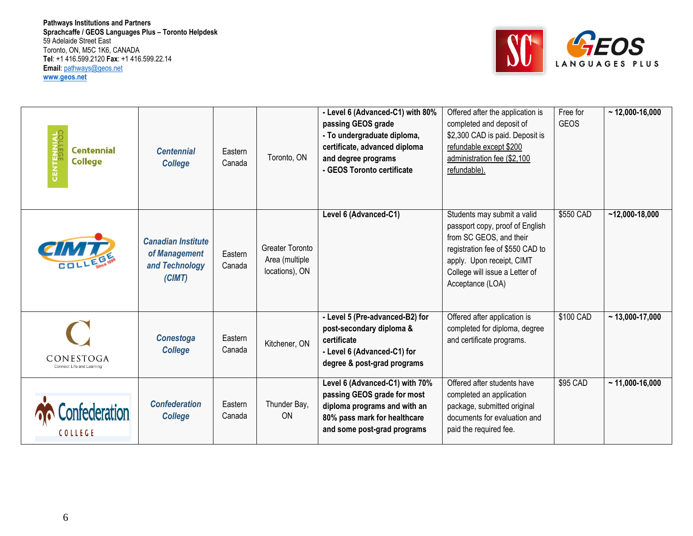

| <b>CENTENNIAL</b><br><b>Centennial</b><br><b>College</b> | <b>Centennial</b><br><b>College</b>                                    | Eastern<br>Canada | Toronto, ON                                                | - Level 6 (Advanced-C1) with 80%<br>passing GEOS grade<br>- To undergraduate diploma,<br>certificate, advanced diploma<br>and degree programs<br>- GEOS Toronto certificate | Offered after the application is<br>completed and deposit of<br>\$2,300 CAD is paid. Deposit is<br>refundable except \$200<br>administration fee (\$2,100<br>refundable).                                        | Free for<br><b>GEOS</b> | $~12,000 - 16,000$ |
|----------------------------------------------------------|------------------------------------------------------------------------|-------------------|------------------------------------------------------------|-----------------------------------------------------------------------------------------------------------------------------------------------------------------------------|------------------------------------------------------------------------------------------------------------------------------------------------------------------------------------------------------------------|-------------------------|--------------------|
| CIMT                                                     | <b>Canadian Institute</b><br>of Management<br>and Technology<br>(CIMT) | Eastern<br>Canada | <b>Greater Toronto</b><br>Area (multiple<br>locations), ON | Level 6 (Advanced-C1)                                                                                                                                                       | Students may submit a valid<br>passport copy, proof of English<br>from SC GEOS, and their<br>registration fee of \$550 CAD to<br>apply. Upon receipt, CIMT<br>College will issue a Letter of<br>Acceptance (LOA) | \$550 CAD               | $-12,000-18,000$   |
| CONESTOGA<br>Connect Life and Learning                   | <b>Conestoga</b><br><b>College</b>                                     | Eastern<br>Canada | Kitchener, ON                                              | - Level 5 (Pre-advanced-B2) for<br>post-secondary diploma &<br>certificate<br>- Level 6 (Advanced-C1) for<br>degree & post-grad programs                                    | Offered after application is<br>completed for diploma, degree<br>and certificate programs.                                                                                                                       | \$100 CAD               | $~13,000 - 17,000$ |
| COLLEGE                                                  | <b>Confederation</b><br><b>College</b>                                 | Eastern<br>Canada | Thunder Bay,<br><b>ON</b>                                  | Level 6 (Advanced-C1) with 70%<br>passing GEOS grade for most<br>diploma programs and with an<br>80% pass mark for healthcare<br>and some post-grad programs                | Offered after students have<br>completed an application<br>package, submitted original<br>documents for evaluation and<br>paid the required fee.                                                                 | \$95 CAD                | $~11,000 - 16,000$ |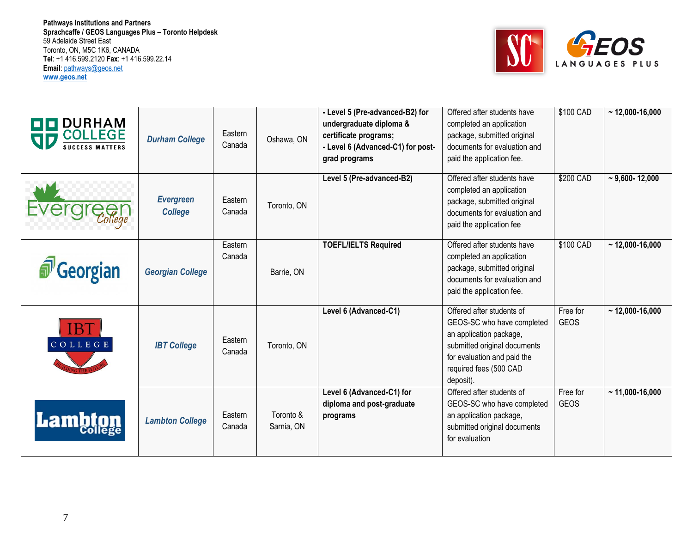

| <b>DURHAM</b><br><b>COLLEGE</b><br>SD<br><b>SUCCESS MATTERS</b> | <b>Durham College</b>              | Eastern<br>Canada | Oshawa, ON              | - Level 5 (Pre-advanced-B2) for<br>undergraduate diploma &<br>certificate programs;<br>- Level 6 (Advanced-C1) for post-<br>grad programs | Offered after students have<br>completed an application<br>package, submitted original<br>documents for evaluation and<br>paid the application fee.                                      | $$100$ CAD              | $~12,000 - 16,000$   |
|-----------------------------------------------------------------|------------------------------------|-------------------|-------------------------|-------------------------------------------------------------------------------------------------------------------------------------------|------------------------------------------------------------------------------------------------------------------------------------------------------------------------------------------|-------------------------|----------------------|
|                                                                 | <b>Evergreen</b><br><b>College</b> | Eastern<br>Canada | Toronto, ON             | Level 5 (Pre-advanced-B2)                                                                                                                 | Offered after students have<br>completed an application<br>package, submitted original<br>documents for evaluation and<br>paid the application fee                                       | \$200 CAD               | $~5,600 - 12,000$    |
| <b><i>a</i></b> Georgian                                        | <b>Georgian College</b>            | Eastern<br>Canada | Barrie, ON              | <b>TOEFL/IELTS Required</b>                                                                                                               | Offered after students have<br>completed an application<br>package, submitted original<br>documents for evaluation and<br>paid the application fee.                                      | \$100 CAD               | $\sim$ 12,000-16,000 |
| COLLEGE                                                         | <b>IBT College</b>                 | Eastern<br>Canada | Toronto, ON             | Level 6 (Advanced-C1)                                                                                                                     | Offered after students of<br>GEOS-SC who have completed<br>an application package,<br>submitted original documents<br>for evaluation and paid the<br>required fees (500 CAD<br>deposit). | Free for<br><b>GEOS</b> | $~12,000 - 16,000$   |
| Lamb                                                            | <b>Lambton College</b>             | Eastern<br>Canada | Toronto &<br>Sarnia, ON | Level 6 (Advanced-C1) for<br>diploma and post-graduate<br>programs                                                                        | Offered after students of<br>GEOS-SC who have completed<br>an application package,<br>submitted original documents<br>for evaluation                                                     | Free for<br><b>GEOS</b> | $~11,000 - 16,000$   |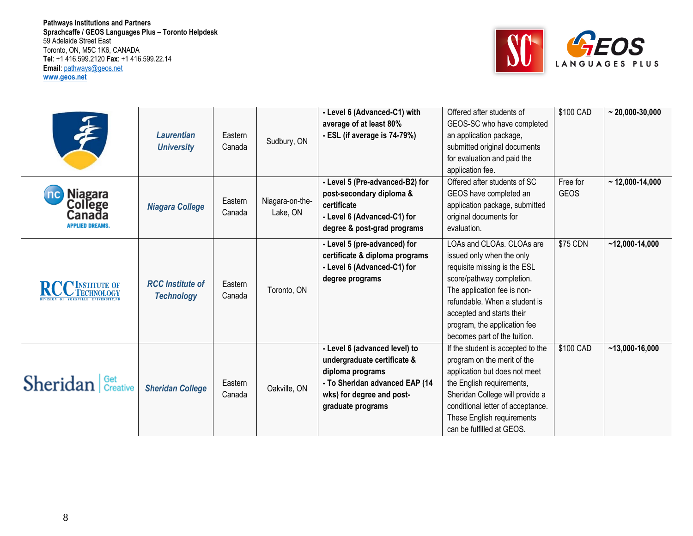

|                                                                       |                                              |          |                             | - Level 6 (Advanced-C1) with<br>average of at least 80% | Offered after students of<br>GEOS-SC who have completed | \$100 CAD   | $\sim$ 20,000-30,000 |
|-----------------------------------------------------------------------|----------------------------------------------|----------|-----------------------------|---------------------------------------------------------|---------------------------------------------------------|-------------|----------------------|
|                                                                       | <b>Laurentian</b>                            | Eastern  |                             | - ESL (if average is 74-79%)                            | an application package,                                 |             |                      |
|                                                                       | <b>University</b>                            | Canada   | Sudbury, ON                 |                                                         | submitted original documents                            |             |                      |
|                                                                       |                                              |          |                             |                                                         | for evaluation and paid the                             |             |                      |
|                                                                       |                                              |          |                             |                                                         | application fee.                                        |             |                      |
|                                                                       |                                              |          |                             | - Level 5 (Pre-advanced-B2) for                         | Offered after students of SC                            | Free for    | $~12,000 - 14,000$   |
| Niagara                                                               |                                              |          |                             | post-secondary diploma &                                | GEOS have completed an                                  | <b>GEOS</b> |                      |
| College<br><b>Niagara College</b><br>Canada<br><b>APPLIED DREAMS.</b> |                                              | Eastern  | Niagara-on-the-             | certificate                                             | application package, submitted                          |             |                      |
|                                                                       | Canada                                       | Lake, ON | - Level 6 (Advanced-C1) for | original documents for                                  |                                                         |             |                      |
|                                                                       |                                              |          |                             | degree & post-grad programs                             | evaluation.                                             |             |                      |
|                                                                       |                                              |          |                             | - Level 5 (pre-advanced) for                            | LOAs and CLOAs, CLOAs are                               | \$75 CDN    | $~12,000 - 14,000$   |
|                                                                       |                                              |          |                             | certificate & diploma programs                          | issued only when the only                               |             |                      |
|                                                                       |                                              |          |                             | - Level 6 (Advanced-C1) for                             | requisite missing is the ESL                            |             |                      |
|                                                                       | <b>RCC</b> Institute of<br><b>Technology</b> | Eastern  |                             | degree programs                                         | score/pathway completion.                               |             |                      |
| <b>C</b> INSTITUTE OF                                                 |                                              | Canada   | Toronto, ON                 |                                                         | The application fee is non-                             |             |                      |
|                                                                       |                                              |          |                             |                                                         | refundable. When a student is                           |             |                      |
|                                                                       |                                              |          |                             |                                                         | accepted and starts their                               |             |                      |
|                                                                       |                                              |          |                             |                                                         | program, the application fee                            |             |                      |
|                                                                       |                                              |          |                             |                                                         | becomes part of the tuition.                            |             |                      |
|                                                                       |                                              |          |                             | - Level 6 (advanced level) to                           | If the student is accepted to the                       | $$100$ CAD  | $~13,000 - 16,000$   |
|                                                                       |                                              |          |                             | undergraduate certificate &                             | program on the merit of the                             |             |                      |
|                                                                       |                                              |          |                             | diploma programs                                        | application but does not meet                           |             |                      |
| <b>Sheridan <i>Creative</i></b>                                       | <b>Sheridan College</b>                      | Eastern  | Oakville, ON                | - To Sheridan advanced EAP (14                          | the English requirements,                               |             |                      |
|                                                                       |                                              | Canada   |                             | wks) for degree and post-                               | Sheridan College will provide a                         |             |                      |
|                                                                       |                                              |          |                             | graduate programs                                       | conditional letter of acceptance.                       |             |                      |
|                                                                       |                                              |          |                             |                                                         | These English requirements                              |             |                      |
|                                                                       |                                              |          |                             |                                                         | can be fulfilled at GEOS.                               |             |                      |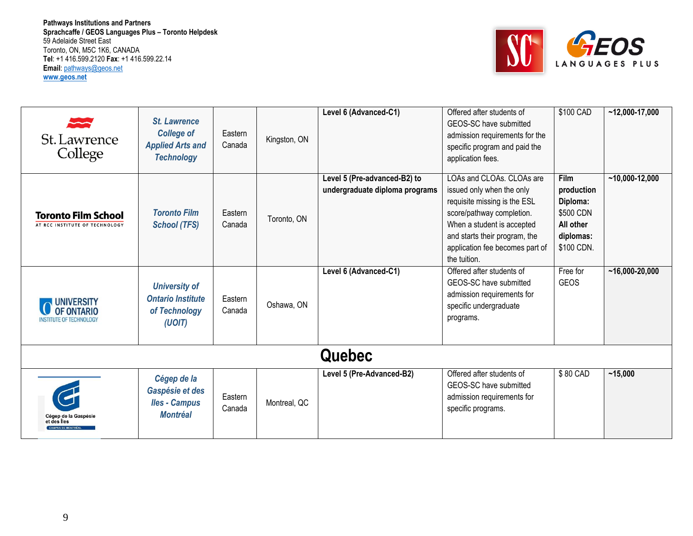

| St. Lawrence<br>College                                           | <b>St. Lawrence</b><br><b>College of</b><br><b>Applied Arts and</b><br><b>Technology</b> | Eastern<br>Canada | Kingston, ON | Level 6 (Advanced-C1)                                          | Offered after students of<br>GEOS-SC have submitted<br>admission requirements for the<br>specific program and paid the<br>application fees.                                                                                           | \$100 CAD                                                                                  | $-12,000-17,000$   |
|-------------------------------------------------------------------|------------------------------------------------------------------------------------------|-------------------|--------------|----------------------------------------------------------------|---------------------------------------------------------------------------------------------------------------------------------------------------------------------------------------------------------------------------------------|--------------------------------------------------------------------------------------------|--------------------|
| <b>Toronto Film School</b><br>AT RCC INSTITUTE OF TECHNOLOGY      | <b>Toronto Film</b><br><b>School (TFS)</b>                                               | Eastern<br>Canada | Toronto, ON  | Level 5 (Pre-advanced-B2) to<br>undergraduate diploma programs | LOAs and CLOAs, CLOAs are<br>issued only when the only<br>requisite missing is the ESL<br>score/pathway completion.<br>When a student is accepted<br>and starts their program, the<br>application fee becomes part of<br>the tuition. | <b>Film</b><br>production<br>Diploma:<br>\$500 CDN<br>All other<br>diplomas:<br>\$100 CDN. | $~10,000 - 12,000$ |
| <b>UNIVERSITY</b><br>OF ONTARIO<br><b>INSTITUTE OF TECHNOLOGY</b> | <b>University of</b><br><b>Ontario Institute</b><br>of Technology<br>(UOIT)              | Eastern<br>Canada | Oshawa, ON   | Level 6 (Advanced-C1)                                          | Offered after students of<br>GEOS-SC have submitted<br>admission requirements for<br>specific undergraduate<br>programs.                                                                                                              | Free for<br><b>GEOS</b>                                                                    | $~16,000-20,000$   |
|                                                                   |                                                                                          |                   |              | Quebec                                                         |                                                                                                                                                                                                                                       |                                                                                            |                    |
| Cégep de la Gaspésie<br>et des Îles<br><b>CAMPUS DE MONTRÉAL</b>  | Cégep de la<br>Gaspésie et des<br><b>Iles - Campus</b><br><b>Montréal</b>                | Eastern<br>Canada | Montreal, QC | Level 5 (Pre-Advanced-B2)                                      | Offered after students of<br>GEOS-SC have submitted<br>admission requirements for<br>specific programs.                                                                                                                               | \$80 CAD                                                                                   | ~15,000            |